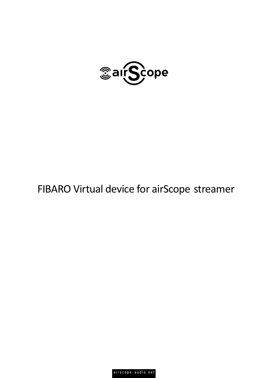

# FIBARO Virtual device for airScope streamer

airscope-audio.net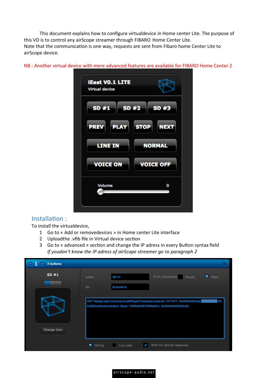This document explains how to configure virtualdevice in Home center Lite. The purpose of this VD is to control any airScope streamer through FIBARO Home Center Lite. Note that the communication is one way, requests are sent from Fibaro home Center Lite to airScope device.

| SD #2<br>SD #3             |
|----------------------------|
|                            |
| <b>STOP</b><br><b>NEXT</b> |
|                            |
| <b>NORMAL</b>              |
|                            |
| <b>VOICE OFF</b>           |
|                            |
| 0                          |
|                            |
|                            |

NB : Another virtual device with more advanced features are available for FIBARO Home Center 2

## Installation :

To install the virtualdevice,

- 1 Go to « Add or removedevices » in Home center Lite interface
- 2 Uploadthe .vfib file in Virtual device section
- 3 Go to « advanced » section and change the IP adress in every Button syntax field *If youdon't know the IP adress of airScope streamer go to paragraph 2*

| 3 buttons<br>v.<br>٠ |             |           |                                                                                                                                                                          | х              |
|----------------------|-------------|-----------|--------------------------------------------------------------------------------------------------------------------------------------------------------------------------|----------------|
| SD#1                 | Label:      | SD #1     | 5/10 characters<br><b>Empty</b>                                                                                                                                          | $\bullet$ Main |
|                      | ID:         | Button614 |                                                                                                                                                                          |                |
| Change Icon          | ٠<br>String | Lua code  | GET httpapi.asp?command=setPlayerCmd:playLocalList:1 HTTP/1.10x0D0x0AHost:<br>0x0D0x0AAuthorization: Basic YWRtaW46YWRtaW4= 0x0D0x0A0x0D0x0A<br>Wait for device response | 180            |